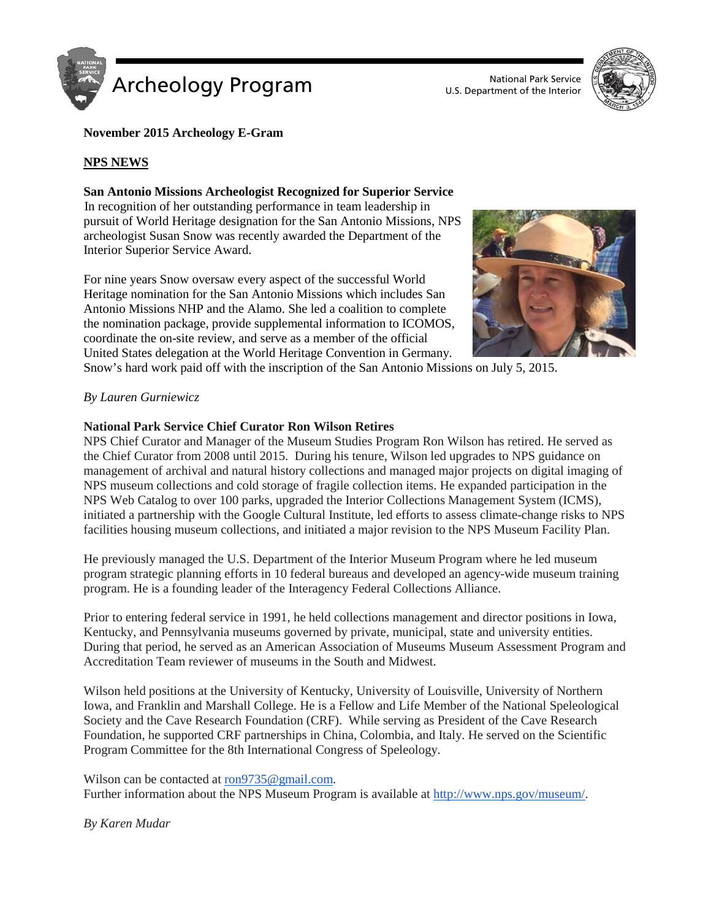

U.S. Department of the Interior



## **November 2015 Archeology E-Gram**

## **NPS NEWS**

### **San Antonio Missions Archeologist Recognized for Superior Service**

In recognition of her outstanding performance in team leadership in pursuit of World Heritage designation for the San Antonio Missions, NPS archeologist Susan Snow was recently awarded the Department of the Interior Superior Service Award.

For nine years Snow oversaw every aspect of the successful World Heritage nomination for the San Antonio Missions which includes San Antonio Missions NHP and the Alamo. She led a coalition to complete the nomination package, provide supplemental information to ICOMOS, coordinate the on-site review, and serve as a member of the official United States delegation at the World Heritage Convention in Germany.



Snow's hard work paid off with the inscription of the San Antonio Missions on July 5, 2015.

#### *By Lauren Gurniewicz*

#### **National Park Service Chief Curator Ron Wilson Retires**

NPS Chief Curator and Manager of the Museum Studies Program Ron Wilson has retired. He served as the Chief Curator from 2008 until 2015. During his tenure, Wilson led upgrades to NPS guidance on management of archival and natural history collections and managed major projects on digital imaging of NPS museum collections and cold storage of fragile collection items. He expanded participation in the NPS Web Catalog to over 100 parks, upgraded the Interior Collections Management System (ICMS), initiated a partnership with the Google Cultural Institute, led efforts to assess climate-change risks to NPS facilities housing museum collections, and initiated a major revision to the NPS Museum Facility Plan.

He previously managed the U.S. Department of the Interior Museum Program where he led museum program strategic planning efforts in 10 federal bureaus and developed an agency-wide museum training program. He is a founding leader of the Interagency Federal Collections Alliance.

Prior to entering federal service in 1991, he held collections management and director positions in Iowa, Kentucky, and Pennsylvania museums governed by private, municipal, state and university entities. During that period, he served as an American Association of Museums Museum Assessment Program and Accreditation Team reviewer of museums in the South and Midwest.

Wilson held positions at the University of Kentucky, University of Louisville, University of Northern Iowa, and Franklin and Marshall College. He is a Fellow and Life Member of the National Speleological Society and the Cave Research Foundation (CRF). While serving as President of the Cave Research Foundation, he supported CRF partnerships in China, Colombia, and Italy. He served on the Scientific Program Committee for the 8th International Congress of Speleology.

Wilson can be contacted at [ron9735@gmail.com.](mailto:ron9735@gmail.com)

Further information about the NPS Museum Program is available at [http://www.nps.gov/museum/.](http://www.nps.gov/museum/)

*By Karen Mudar*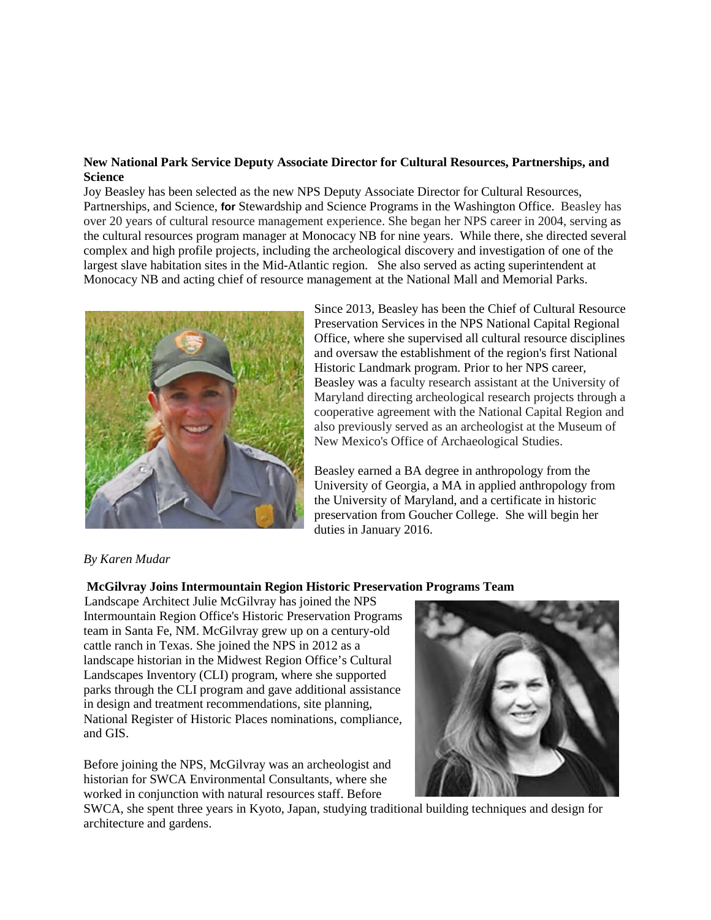## **New National Park Service Deputy Associate Director for Cultural Resources, Partnerships, and Science**

Joy Beasley has been selected as the new NPS Deputy Associate Director for Cultural Resources, Partnerships, and Science, **for** Stewardship and Science Programs in the Washington Office. Beasley has over 20 years of cultural resource management experience. She began her NPS career in 2004, serving as the cultural resources program manager at Monocacy NB for nine years. While there, she directed several complex and high profile projects, including the archeological discovery and investigation of one of the largest slave habitation sites in the Mid-Atlantic region. She also served as acting superintendent at Monocacy NB and acting chief of resource management at the National Mall and Memorial Parks.



Since 2013, Beasley has been the Chief of Cultural Resource Preservation Services in the NPS National Capital Regional Office, where she supervised all cultural resource disciplines and oversaw the establishment of the region's first National Historic Landmark program. Prior to her NPS career, Beasley was a faculty research assistant at the University of Maryland directing archeological research projects through a cooperative agreement with the National Capital Region and also previously served as an archeologist at the Museum of New Mexico's Office of Archaeological Studies.

Beasley earned a BA degree in anthropology from the University of Georgia, a MA in applied anthropology from the University of Maryland, and a certificate in historic preservation from Goucher College. She will begin her duties in January 2016.

## *By Karen Mudar*

## **McGilvray Joins Intermountain Region Historic Preservation Programs Team**

Landscape Architect Julie McGilvray has joined the NPS Intermountain Region Office's Historic Preservation Programs team in Santa Fe, NM. McGilvray grew up on a century-old cattle ranch in Texas. She joined the NPS in 2012 as a landscape historian in the Midwest Region Office's Cultural Landscapes Inventory (CLI) program, where she supported parks through the CLI program and gave additional assistance in design and treatment recommendations, site planning, National Register of Historic Places nominations, compliance, and GIS.

Before joining the NPS, McGilvray was an archeologist and historian for SWCA Environmental Consultants, where she worked in conjunction with natural resources staff. Before



SWCA, she spent three years in Kyoto, Japan, studying traditional building techniques and design for architecture and gardens.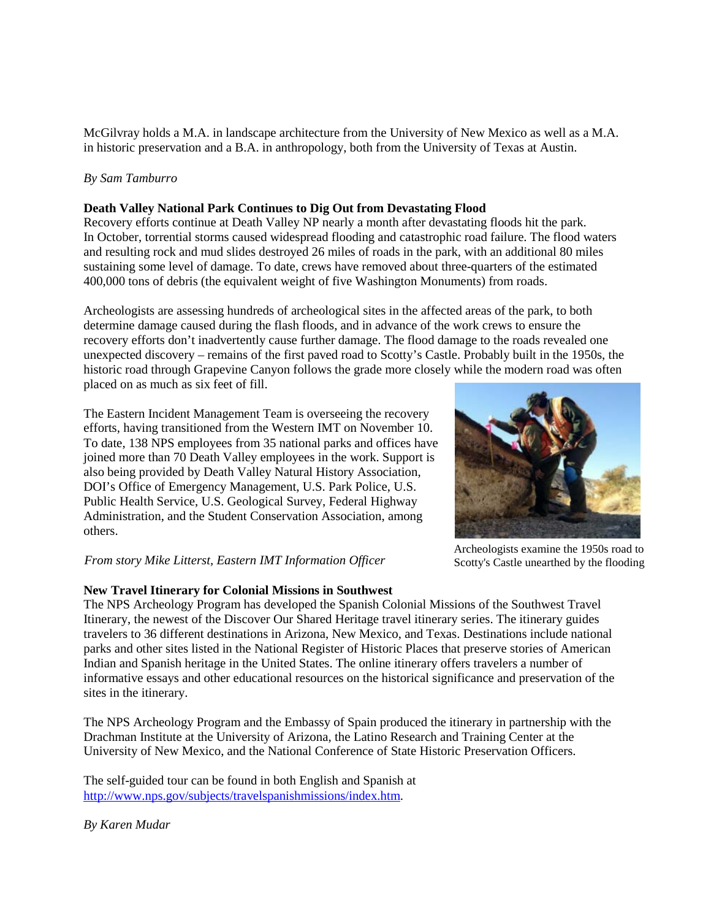McGilvray holds a M.A. in landscape architecture from the University of New Mexico as well as a M.A. in historic preservation and a B.A. in anthropology, both from the University of Texas at Austin.

## *By Sam Tamburro*

### **Death Valley National Park Continues to Dig Out from Devastating Flood**

Recovery efforts continue at Death Valley NP nearly a month after devastating floods hit the park. In October, torrential storms caused widespread flooding and catastrophic road failure. The flood waters and resulting rock and mud slides destroyed 26 miles of roads in the park, with an additional 80 miles sustaining some level of damage. To date, crews have removed about three-quarters of the estimated 400,000 tons of debris (the equivalent weight of five Washington Monuments) from roads.

Archeologists are assessing hundreds of archeological sites in the affected areas of the park, to both determine damage caused during the flash floods, and in advance of the work crews to ensure the recovery efforts don't inadvertently cause further damage. The flood damage to the roads revealed one unexpected discovery – remains of the first paved road to Scotty's Castle. Probably built in the 1950s, the historic road through Grapevine Canyon follows the grade more closely while the modern road was often placed on as much as six feet of fill.

The Eastern Incident Management Team is overseeing the recovery efforts, having transitioned from the Western IMT on November 10. To date, 138 NPS employees from 35 national parks and offices have joined more than 70 Death Valley employees in the work. Support is also being provided by Death Valley Natural History Association, DOI's Office of Emergency Management, U.S. Park Police, U.S. Public Health Service, U.S. Geological Survey, Federal Highway Administration, and the Student Conservation Association, among others.



## **New Travel Itinerary for Colonial Missions in Southwest**

The NPS Archeology Program has developed the Spanish Colonial Missions of the Southwest Travel Itinerary, the newest of the Discover Our Shared Heritage travel itinerary series. The itinerary guides travelers to 36 different destinations in Arizona, New Mexico, and Texas. Destinations include national parks and other sites listed in the National Register of Historic Places that preserve stories of American Indian and Spanish heritage in the United States. The online itinerary offers travelers a number of informative essays and other educational resources on the historical significance and preservation of the sites in the itinerary.

The NPS Archeology Program and the Embassy of Spain produced the itinerary in partnership with the Drachman Institute at the University of Arizona, the Latino Research and Training Center at the University of New Mexico, and the National Conference of State Historic Preservation Officers.

The self-guided tour can be found in both English and Spanish at [http://www.nps.gov/subjects/travelspanishmissions/index.htm.](http://www.nps.gov/subjects/travelspanishmissions/index.htm)

*By Karen Mudar*



Archeologists examine the 1950s road to Scotty's Castle unearthed by the flooding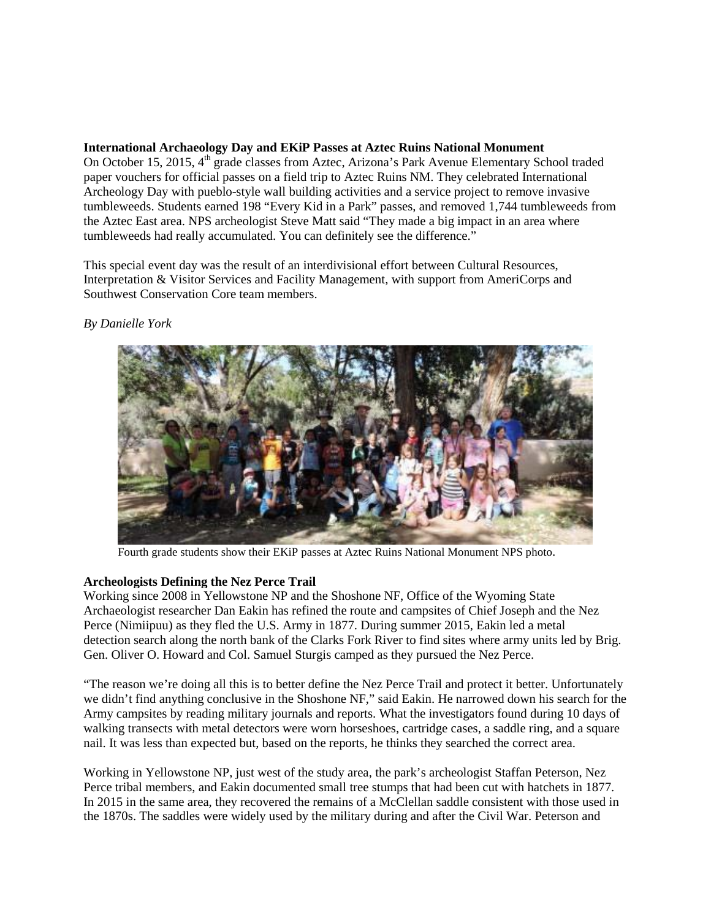## **International Archaeology Day and EKiP Passes at Aztec Ruins National Monument**

On October 15, 2015, 4<sup>th</sup> grade classes from Aztec, Arizona's Park Avenue Elementary School traded paper vouchers for official passes on a field trip to Aztec Ruins NM. They celebrated International Archeology Day with pueblo-style wall building activities and a service project to remove invasive tumbleweeds. Students earned 198 "Every Kid in a Park" passes, and removed 1,744 tumbleweeds from the Aztec East area. NPS archeologist Steve Matt said "They made a big impact in an area where tumbleweeds had really accumulated. You can definitely see the difference."

This special event day was the result of an interdivisional effort between Cultural Resources, Interpretation & Visitor Services and Facility Management, with support from AmeriCorps and Southwest Conservation Core team members.



## *By Danielle York*

Fourth grade students show their EKiP passes at Aztec Ruins National Monument NPS photo.

## **Archeologists Defining the Nez Perce Trail**

Working since 2008 in Yellowstone NP and the Shoshone NF, Office of the Wyoming State Archaeologist researcher Dan Eakin has refined the route and campsites of Chief Joseph and the Nez Perce (Nimiipuu) as they fled the U.S. Army in 1877. During summer 2015, Eakin led a metal detection search along the north bank of the Clarks Fork River to find sites where army units led by Brig. Gen. Oliver O. Howard and Col. Samuel Sturgis camped as they pursued the Nez Perce.

"The reason we're doing all this is to better define the Nez Perce Trail and protect it better. Unfortunately we didn't find anything conclusive in the Shoshone NF," said Eakin. He narrowed down his search for the Army campsites by reading military journals and reports. What the investigators found during 10 days of walking transects with metal detectors were worn horseshoes, cartridge cases, a saddle ring, and a square nail. It was less than expected but, based on the reports, he thinks they searched the correct area.

Working in Yellowstone NP, just west of the study area, the park's archeologist Staffan Peterson, Nez Perce tribal members, and Eakin documented small tree stumps that had been cut with hatchets in 1877. In 2015 in the same area, they recovered the remains of a McClellan saddle consistent with those used in the 1870s. The saddles were widely used by the military during and after the Civil War. Peterson and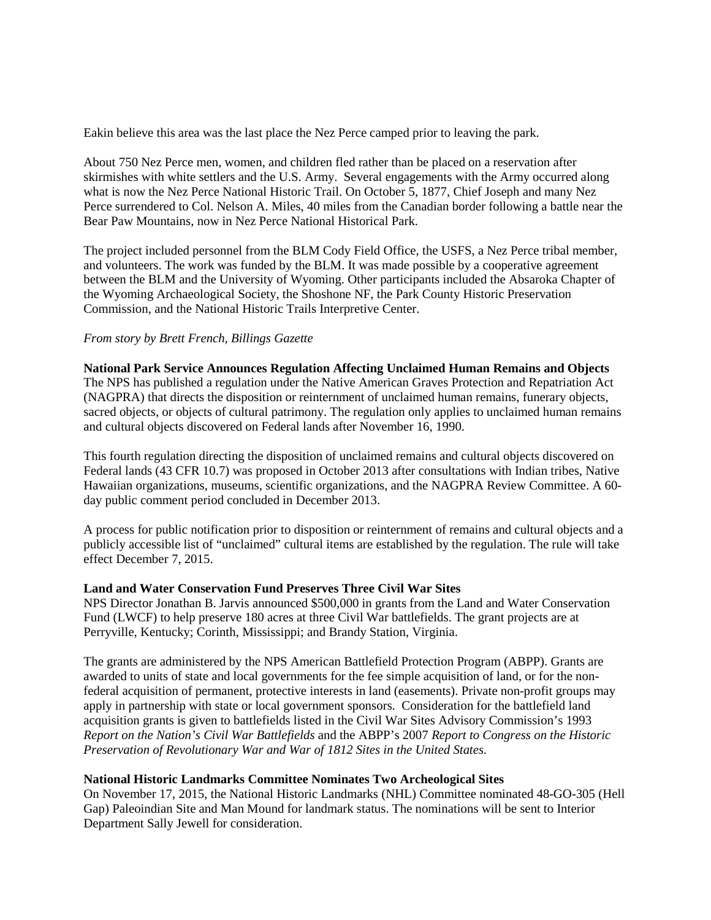Eakin believe this area was the last place the Nez Perce camped prior to leaving the park.

About 750 Nez Perce men, women, and children fled rather than be placed on a reservation after skirmishes with white settlers and the U.S. Army. Several engagements with the Army occurred along what is now the Nez Perce National Historic Trail. On October 5, 1877, Chief Joseph and many Nez Perce surrendered to Col. Nelson A. Miles, 40 miles from the Canadian border following a battle near the Bear Paw Mountains, now in Nez Perce National Historical Park.

The project included personnel from the BLM Cody Field Office, the USFS, a Nez Perce tribal member, and volunteers. The work was funded by the BLM. It was made possible by a cooperative agreement between the BLM and the University of Wyoming. Other participants included the Absaroka Chapter of the Wyoming Archaeological Society, the Shoshone NF, the Park County Historic Preservation Commission, and the National Historic Trails Interpretive Center.

## *From story by Brett French, Billings Gazette*

**National Park Service Announces Regulation Affecting Unclaimed Human Remains and Objects** The NPS has published a regulation under the Native American Graves Protection and Repatriation Act (NAGPRA) that directs the disposition or reinternment of unclaimed human remains, funerary objects, sacred objects, or objects of cultural patrimony. The regulation only applies to unclaimed human remains and cultural objects discovered on Federal lands after November 16, 1990.

This fourth regulation directing the disposition of unclaimed remains and cultural objects discovered on Federal lands (43 CFR 10.7) was proposed in October 2013 after consultations with Indian tribes, Native Hawaiian organizations, museums, scientific organizations, and the NAGPRA Review Committee. A 60 day public comment period concluded in December 2013.

A process for public notification prior to disposition or reinternment of remains and cultural objects and a publicly accessible list of "unclaimed" cultural items are established by the regulation. The rule will take effect December 7, 2015.

## **Land and Water Conservation Fund Preserves Three Civil War Sites**

NPS Director Jonathan B. Jarvis announced \$500,000 in grants from the Land and Water Conservation Fund (LWCF) to help preserve 180 acres at three Civil War battlefields. The grant projects are at Perryville, Kentucky; Corinth, Mississippi; and Brandy Station, Virginia.

The grants are administered by the NPS American Battlefield Protection Program (ABPP). Grants are awarded to units of state and local governments for the fee simple acquisition of land, or for the nonfederal acquisition of permanent, protective interests in land (easements). Private non-profit groups may apply in partnership with state or local government sponsors. Consideration for the battlefield land acquisition grants is given to battlefields listed in the Civil War Sites Advisory Commission's 1993 *Report on the Nation's Civil War Battlefields* and the ABPP's 2007 *Report to Congress on the Historic Preservation of Revolutionary War and War of 1812 Sites in the United States.*

## **National Historic Landmarks Committee Nominates Two Archeological Sites**

On November 17, 2015, the National Historic Landmarks (NHL) Committee nominated 48-GO-305 (Hell Gap) Paleoindian Site and Man Mound for landmark status. The nominations will be sent to Interior Department Sally Jewell for consideration.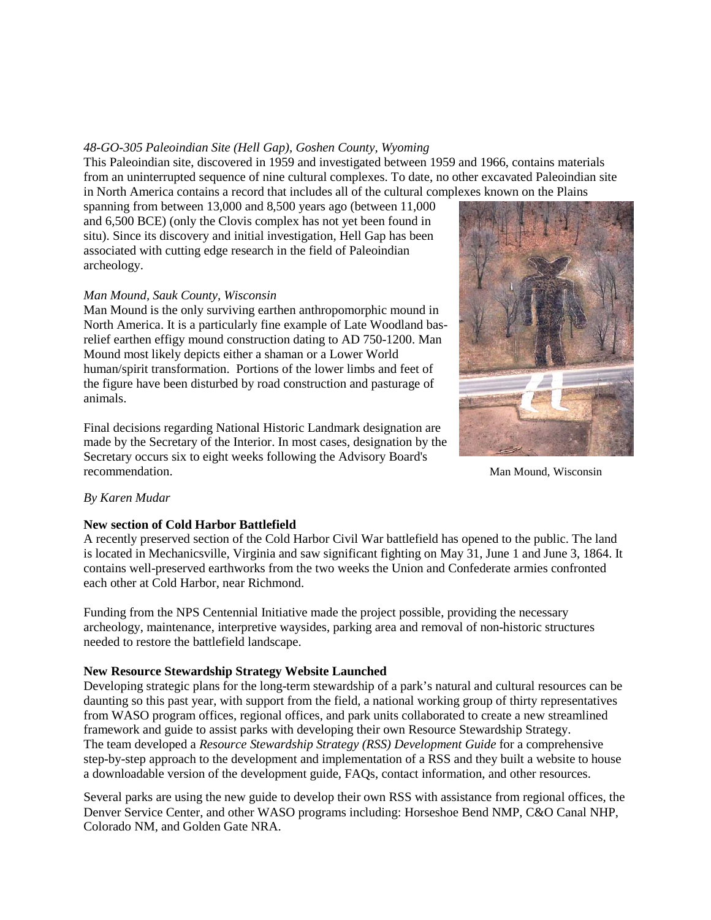## *48-GO-305 Paleoindian Site (Hell Gap), Goshen County, Wyoming*

This Paleoindian site, discovered in 1959 and investigated between 1959 and 1966, contains materials from an uninterrupted sequence of nine cultural complexes. To date, no other excavated Paleoindian site in North America contains a record that includes all of the cultural complexes known on the Plains

spanning from between 13,000 and 8,500 years ago (between 11,000 and 6,500 BCE) (only the Clovis complex has not yet been found in situ). Since its discovery and initial investigation, Hell Gap has been associated with cutting edge research in the field of Paleoindian archeology.

## *Man Mound, Sauk County, Wisconsin*

Man Mound is the only surviving earthen anthropomorphic mound in North America. It is a particularly fine example of Late Woodland basrelief earthen effigy mound construction dating to AD 750-1200. Man Mound most likely depicts either a shaman or a Lower World human/spirit transformation. Portions of the lower limbs and feet of the figure have been disturbed by road construction and pasturage of animals.

Final decisions regarding National Historic Landmark designation are made by the Secretary of the Interior. In most cases, designation by the Secretary occurs six to eight weeks following the Advisory Board's recommendation.



Man Mound, Wisconsin

# *By Karen Mudar*

## **New section of Cold Harbor Battlefield**

A recently preserved section of the Cold Harbor Civil War battlefield has opened to the public. The land is located in Mechanicsville, Virginia and saw significant fighting on May 31, June 1 and June 3, 1864. It contains well-preserved earthworks from the two weeks the Union and Confederate armies confronted each other at Cold Harbor, near Richmond.

Funding from the NPS Centennial Initiative made the project possible, providing the necessary archeology, maintenance, interpretive waysides, parking area and removal of non-historic structures needed to restore the battlefield landscape.

## **New Resource Stewardship Strategy Website Launched**

Developing strategic plans for the long-term stewardship of a park's natural and cultural resources can be daunting so this past year, with support from the field, a national working group of thirty representatives from WASO program offices, regional offices, and park units collaborated to create a new streamlined framework and guide to assist parks with developing their own Resource Stewardship Strategy. The team developed a *Resource Stewardship Strategy (RSS) Development Guide* for a comprehensive step-by-step approach to the development and implementation of a RSS and they built a website to house a downloadable version of the development guide, FAQs, contact information, and other resources.

Several parks are using the new guide to develop their own RSS with assistance from regional offices, the Denver Service Center, and other WASO programs including: Horseshoe Bend NMP, C&O Canal NHP, Colorado NM, and Golden Gate NRA.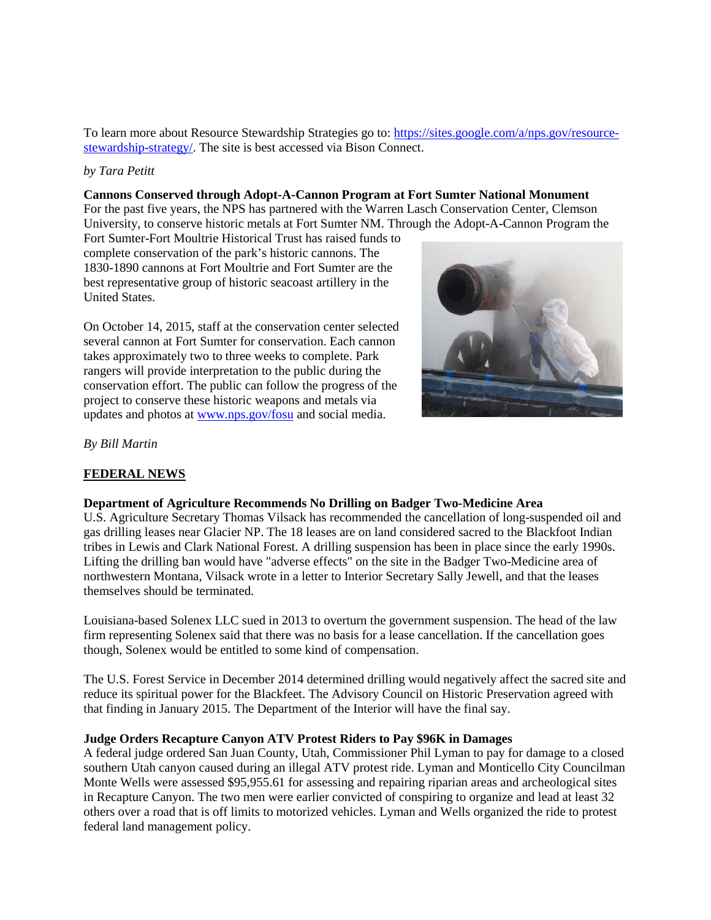To learn more about Resource Stewardship Strategies go to: [https://sites.google.com/a/nps.gov/resource](https://sites.google.com/a/nps.gov/resource-stewardship-strategy/)[stewardship-strategy/.](https://sites.google.com/a/nps.gov/resource-stewardship-strategy/) The site is best accessed via Bison Connect.

#### *by Tara Petitt*

#### **Cannons Conserved through Adopt-A-Cannon Program at Fort Sumter National Monument**

For the past five years, the NPS has partnered with the Warren Lasch Conservation Center, Clemson University, to conserve historic metals at Fort Sumter NM. Through the Adopt-A-Cannon Program the

Fort Sumter-Fort Moultrie Historical Trust has raised funds to complete conservation of the park's historic cannons. The 1830-1890 cannons at Fort Moultrie and Fort Sumter are the best representative group of historic seacoast artillery in the United States.

On October 14, 2015, staff at the conservation center selected several cannon at Fort Sumter for conservation. Each cannon takes approximately two to three weeks to complete. Park rangers will provide interpretation to the public during the conservation effort. The public can follow the progress of the project to conserve these historic weapons and metals via updates and photos at [www.nps.gov/fosu](http://www.nps.gov/fosu) and social media.



*By Bill Martin*

## **FEDERAL NEWS**

## **Department of Agriculture Recommends No Drilling on Badger Two-Medicine Area**

U.S. Agriculture Secretary Thomas Vilsack has recommended the cancellation of long-suspended oil and gas drilling leases near Glacier NP. The 18 leases are on land considered sacred to the Blackfoot Indian tribes in Lewis and Clark National Forest. A drilling suspension has been in place since the early 1990s. Lifting the drilling ban would have "adverse effects" on the site in the Badger Two-Medicine area of northwestern Montana, Vilsack wrote in a letter to Interior Secretary Sally Jewell, and that the leases themselves should be terminated.

Louisiana-based Solenex LLC sued in 2013 to overturn the government suspension. The head of the law firm representing Solenex said that there was no basis for a lease cancellation. If the cancellation goes though, Solenex would be entitled to some kind of compensation.

The U.S. Forest Service in December 2014 determined drilling would negatively affect the sacred site and reduce its spiritual power for the Blackfeet. The Advisory Council on Historic Preservation agreed with that finding in January 2015. The Department of the Interior will have the final say.

## **Judge Orders Recapture Canyon ATV Protest Riders to Pay \$96K in Damages**

A federal judge ordered San Juan County, Utah, Commissioner Phil Lyman to pay for damage to a closed southern Utah canyon caused during an illegal ATV protest ride. Lyman and Monticello City Councilman Monte Wells were assessed \$95,955.61 for assessing and repairing riparian areas and archeological sites in Recapture Canyon. The two men were earlier convicted of conspiring to organize and lead at least 32 others over a road that is off limits to motorized vehicles. Lyman and Wells organized the ride to protest federal land management policy.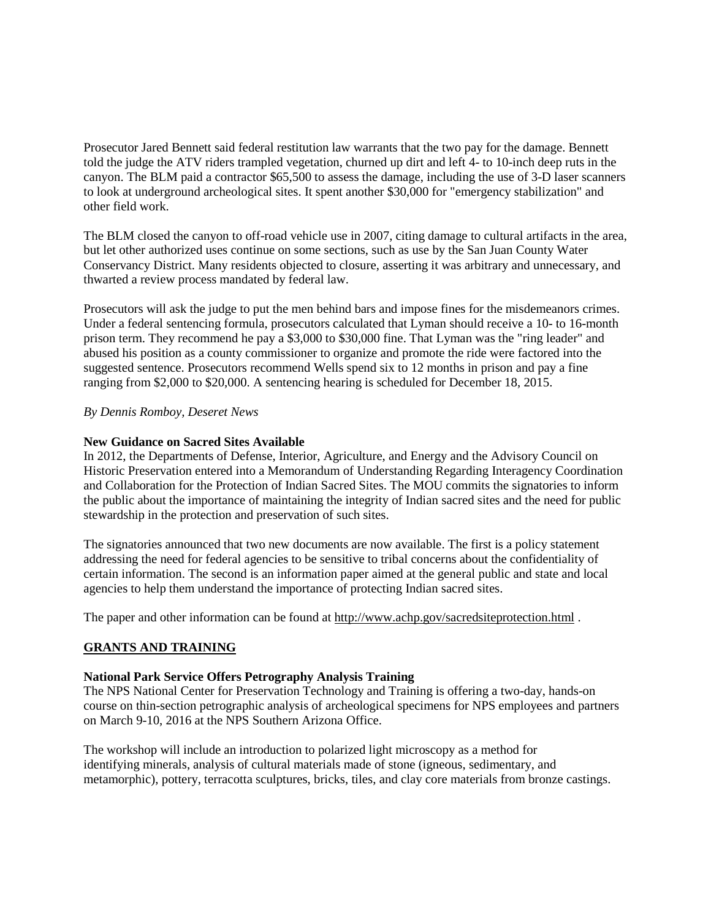Prosecutor Jared Bennett said federal restitution law warrants that the two pay for the damage. Bennett told the judge the ATV riders trampled vegetation, churned up dirt and left 4- to 10-inch deep ruts in the canyon. The BLM paid a contractor \$65,500 to assess the damage, including the use of 3-D laser scanners to look at underground archeological sites. It spent another \$30,000 for "emergency stabilization" and other field work.

The BLM closed the canyon to off-road vehicle use in 2007, citing damage to cultural artifacts in the area, but let other authorized uses continue on some sections, such as use by the San Juan County Water Conservancy District. Many residents objected to closure, asserting it was arbitrary and unnecessary, and thwarted a review process mandated by federal law.

Prosecutors will ask the judge to put the men behind bars and impose fines for the misdemeanors crimes. Under a federal sentencing formula, prosecutors calculated that Lyman should receive a 10- to 16-month prison term. They recommend he pay a \$3,000 to \$30,000 fine. That Lyman was the "ring leader" and abused his position as a county commissioner to organize and promote the ride were factored into the suggested sentence. Prosecutors recommend Wells spend six to 12 months in prison and pay a fine ranging from \$2,000 to \$20,000. A sentencing hearing is scheduled for December 18, 2015.

## *By Dennis Romboy, Deseret News*

#### **New Guidance on Sacred Sites Available**

In 2012, the Departments of Defense, Interior, Agriculture, and Energy and the Advisory Council on Historic Preservation entered into a Memorandum of Understanding Regarding Interagency Coordination and Collaboration for the Protection of Indian Sacred Sites. The MOU commits the signatories to inform the public about the importance of maintaining the integrity of Indian sacred sites and the need for public stewardship in the protection and preservation of such sites.

The signatories announced that two new documents are now available. The first is a policy statement addressing the need for federal agencies to be sensitive to tribal concerns about the confidentiality of certain information. The second is an information paper aimed at the general public and state and local agencies to help them understand the importance of protecting Indian sacred sites.

The paper and other information can be found at <http://www.achp.gov/sacredsiteprotection.html>.

## **GRANTS AND TRAINING**

## **National Park Service Offers Petrography Analysis Training**

The NPS National Center for Preservation Technology and Training is offering a two-day, hands-on course on thin-section petrographic analysis of archeological specimens for NPS employees and partners on March 9-10, 2016 at the NPS Southern Arizona Office.

The workshop will include an introduction to polarized light microscopy as a method for identifying minerals, analysis of cultural materials made of stone (igneous, sedimentary, and metamorphic), pottery, terracotta sculptures, bricks, tiles, and clay core materials from bronze castings.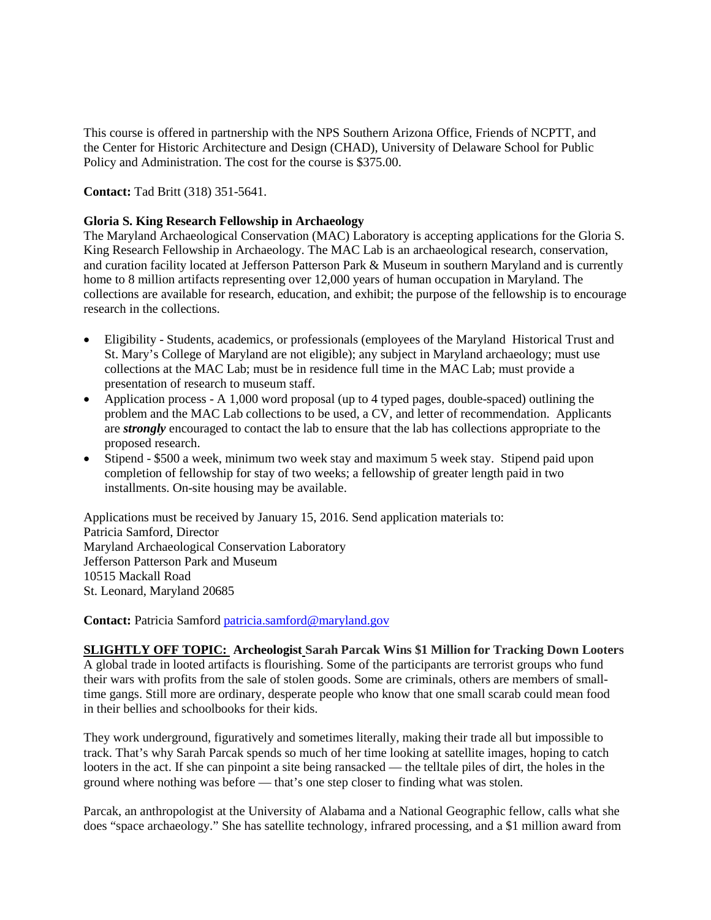This course is offered in partnership with the NPS Southern Arizona Office, Friends of NCPTT, and the Center for Historic Architecture and Design (CHAD), University of Delaware School for Public Policy and Administration. The cost for the course is \$375.00.

**Contact:** Tad Britt (318) 351-5641.

### **Gloria S. King Research Fellowship in Archaeology**

The Maryland Archaeological Conservation (MAC) Laboratory is accepting applications for the Gloria S. King Research Fellowship in Archaeology. The MAC Lab is an archaeological research, conservation, and curation facility located at Jefferson Patterson Park & Museum in southern Maryland and is currently home to 8 million artifacts representing over 12,000 years of human occupation in Maryland. The collections are available for research, education, and exhibit; the purpose of the fellowship is to encourage research in the collections.

- Eligibility Students, academics, or professionals (employees of the Maryland Historical Trust and St. Mary's College of Maryland are not eligible); any subject in Maryland archaeology; must use collections at the MAC Lab; must be in residence full time in the MAC Lab; must provide a presentation of research to museum staff.
- Application process A 1,000 word proposal (up to 4 typed pages, double-spaced) outlining the problem and the MAC Lab collections to be used, a CV, and letter of recommendation. Applicants are *strongly* encouraged to contact the lab to ensure that the lab has collections appropriate to the proposed research.
- Stipend \$500 a week, minimum two week stay and maximum 5 week stay. Stipend paid upon completion of fellowship for stay of two weeks; a fellowship of greater length paid in two installments. On-site housing may be available.

Applications must be received by January 15, 2016. Send application materials to: Patricia Samford, Director Maryland Archaeological Conservation Laboratory Jefferson Patterson Park and Museum 10515 Mackall Road St. Leonard, Maryland 20685

**Contact:** Patricia Samfor[d patricia.samford@maryland.gov](mailto:patricia.samford@maryland.gov)

**SLIGHTLY OFF TOPIC: Archeologist Sarah Parcak Wins \$1 Million for Tracking Down Looters** A global trade in looted artifacts is flourishing. Some of the participants are terrorist groups who fund their wars with profits from the sale of stolen goods. Some are criminals, others are members of smalltime gangs. Still more are ordinary, desperate people who know that one small scarab could mean food in their bellies and schoolbooks for their kids.

They work underground, figuratively and sometimes literally, making their trade all but impossible to track. That's why Sarah Parcak spends so much of her time looking at satellite images, hoping to catch looters in the act. If she can pinpoint a site being ransacked — the telltale piles of dirt, the holes in the ground where nothing was before — that's one step closer to finding what was stolen.

Parcak, an anthropologist at the University of Alabama and a National Geographic fellow, calls what she does "space archaeology." She has satellite technology, infrared processing, and a \$1 million award from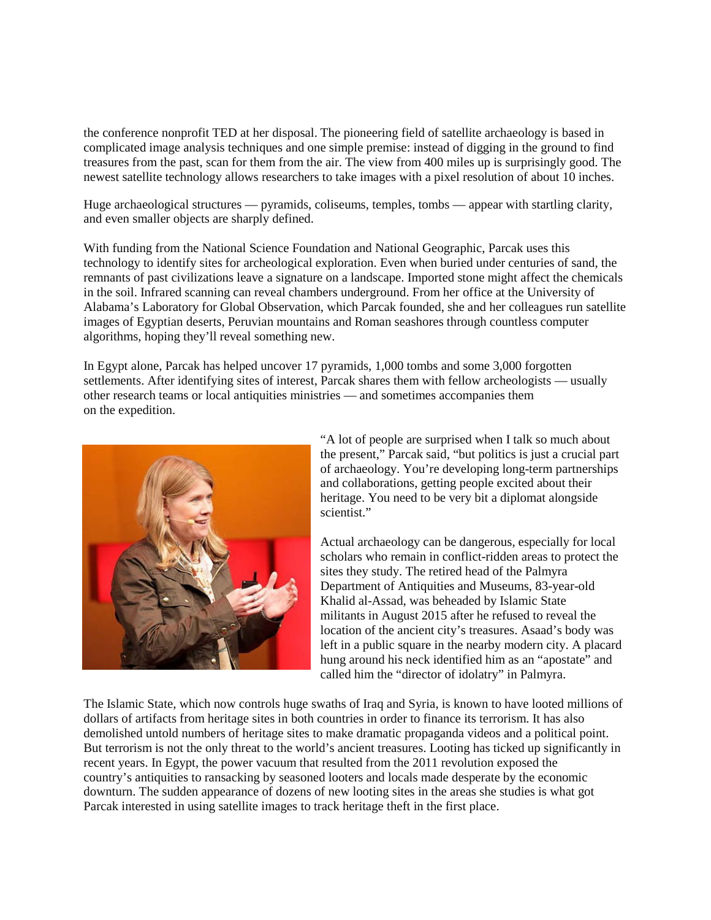the conference nonprofit TED at her disposal. The pioneering field of satellite archaeology is based in complicated image analysis techniques and one simple premise: instead of digging in the ground to find treasures from the past, scan for them from the air. The view from 400 miles up is surprisingly good. The newest satellite technology allows researchers to take images with a pixel resolution of about 10 inches.

Huge archaeological structures — pyramids, coliseums, temples, tombs — appear with startling clarity, and even smaller objects are sharply defined.

With funding from the National Science Foundation and National Geographic, Parcak uses this technology to identify sites for archeological exploration. Even when buried under centuries of sand, the remnants of past civilizations leave a signature on a landscape. Imported stone might affect the chemicals in the soil. Infrared scanning can reveal chambers underground. From her office at the University of Alabama's Laboratory for Global Observation, which Parcak founded, she and her colleagues run satellite images of Egyptian deserts, Peruvian mountains and Roman seashores through countless computer algorithms, hoping they'll reveal something new.

In Egypt alone, Parcak has helped uncover 17 pyramids, 1,000 tombs and some 3,000 forgotten settlements. After identifying sites of interest, Parcak shares them with fellow archeologists — usually other research teams or local antiquities ministries — and sometimes accompanies them on the expedition.



"A lot of people are surprised when I talk so much about the present," Parcak said, "but politics is just a crucial part of archaeology. You're developing long-term partnerships and collaborations, getting people excited about their heritage. You need to be very bit a diplomat alongside scientist."

Actual archaeology can be dangerous, especially for local scholars who remain in conflict-ridden areas to protect the sites they study. The retired head of the Palmyra Department of Antiquities and Museums, 83-year-old Khalid al-Assad, was beheaded by Islamic State militants in August 2015 after he refused to reveal the location of the ancient city's treasures. Asaad's body was left in a public square in the nearby modern city. A placard hung around his neck identified him as an "apostate" and called him the "director of idolatry" in Palmyra.

The Islamic State, which now controls huge swaths of Iraq and Syria, is known to have looted millions of dollars of artifacts from heritage sites in both countries in order to finance its terrorism. It has also demolished untold numbers of heritage sites to make dramatic propaganda videos and a political point. But terrorism is not the only threat to the world's ancient treasures. Looting has ticked up significantly in recent years. In Egypt, the power vacuum that resulted from the 2011 revolution exposed the country's antiquities to ransacking by seasoned looters and locals made desperate by the economic downturn. The sudden appearance of dozens of new looting sites in the areas she studies is what got Parcak interested in using satellite images to track heritage theft in the first place.